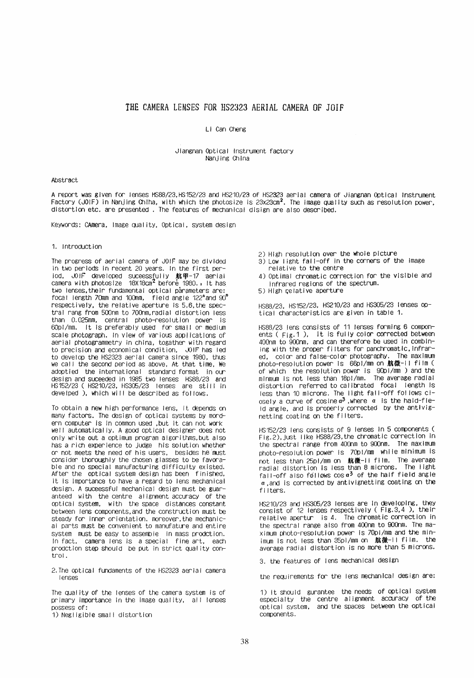# THE CAMERA LENSES FOR HS2323 AERIAL CAMERA OF JOIF

#### Li Can Cheng

### Jiangnan Optical Instrument factory Nanjing China

## Abstract

A report was given for lenses HS88/23, HS152/23 and HS210/23 of HS2323 aerial camera of Jiangnan Optical Instrument Factory (JOIF) in Nanjing Chiha, with which the photosize is 23x23cm<sup>2</sup>. The image quality such as resolution power, distortion etc. are presented. The features of mechanical disign are also described.

Keywords: CAmera, Image quality, Optical, system design

### 1. Introduction

The progress of aerial camera of JOIF may be divided in two periods in recent 20 years. In the first period, JOIF developed successfully 航甲-17 aerial<br>camera with photosize 18X18cm<sup>2</sup> before 1980., It has two lenses, their fundamental optical parameters are: focal length 70mm and 100mm, field angle 122° and 90° respectively, the relative aperture is 5.6, the spectral rang from 500nm to 700nm radial distortion less than 0.025mm, central photo-resolution power is 60pl/mm. It is preferably used for small or medium scale photograph. In view of various applications of aerial photogrammetry in china, togather with regard to precision and economical condition, JOIF has led to develop the HS2323 aerial camera since 1980, thus we call the second period as above, At that time, We adoptied the international standard format in our design and suceeded in 1985 two lenses HS88/23 and HS152/23 (HS210/23, HS305/23 lenses are still in develped), which will be described as follows.

To obtain a new high performance lens, it depends on many factors. The design of optical systems by mordern computer is in common used , but it can not work well automatically. A good optical designer does not only write out a optimum program algorithms, but also has a rich experience to judge his solution whether or not meets the need of his users, besides he must consider thoroughly the chosen glasses to be favorable and no special manufacturing difficulty existed. After the optical system design has been finished, it is importance to have a regard to lens mechanical design. A suceessful mechanical design must be guaranteed with the centre all snment accuracy of the optical system, with the space distances constant between lens components, and the construction must be steady for inner orientation, moreover, the mechanical parts must be convenient to manufature and entire system must be easy to assemble in mass prodction. In fact, camera lens is a special fine art, each prodction step should be put in strict quality control.

2. The optical fundaments of the HS2323 aerial camera lenses

The quality of the lenses of the camera system is of primary importance in the image quality, all lenses  $n$ cossess of:

1) Negligible small distortion

2) High resolution over the whole picture

- $(3)$  low light fall-off in the corners of the image relative to the centre
- 4) Optimal chromatic correction for the visible and infrared regions of the spectrum.
- 5) High relative aperture

HS88/23. HS152/23, HS210/23 and HS305/23 lenses optical characteristics are given in table 1.

HS88/23 lens consists of 11 lenses forming 6 components (Fig. 1), it is fully color corrected between 400nm to 900nm, and can therefore be used in combining with the proper filters for panchromatic, infrared, color and false-color photography. The maximum photo-resolution power is 66pl/mm on 航微-ll film ( of which the resolution power is 90p/mm) and the<br>minnum is not less than 18pl/mm. The average radial distortion referred to calibrated focal length is less than 10 microns. The light fall-off follows cl-<br>osely a curve of cosine  $a^3$ , where a is the hald-fie-Id angle, and is properly corrected by the antivisnetting coating on the filters.

HS152/23 lens consists of 9 lenses in 5 components ( Fig.2), just like HS88/23, the chromatic correction in the spectral range from 400nm to 900nm. The maximum photo-resolution power is 70pl/mm while minimum is not less than 25pl/mm on 航微-il film. The average radial distortion is less than 8 microns. The light fall-off also follows  $\cos a^3$  of the half field angle  $\alpha$ , and is corrected by antivignetting coating on the filters.

HS210/23 and HS305/23 lenses are in developing, they consist of 12 lenses respectively (Fig.3.4 ), their relative apertur is 4. The chromatic correction in the spectral range also from 400nm to 900nm. The maximum photo-resolution power is 70pl/mm and the minimum is not less than 35pl/mm on 鯨黴-II film. the average radial distortion is no more than 5 microns.

3. the features of lens mechanical design

the requirements for the lens mechanical design are:

1) It should gurantee the needs of optical system especialty the centre alignment accuracy of the optical system, and the spaces between the optical components.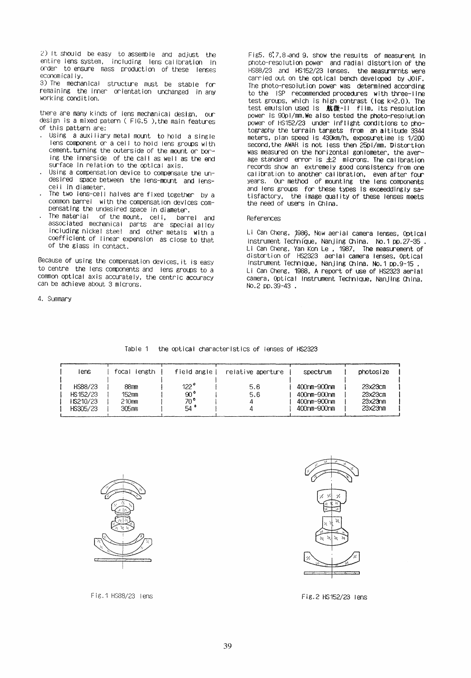2) It should be easy to assemble and adjust the entire lens system, including lens calibration in order to ensure mass production of these lenses economically.

3) The mechanical structure must be stable for remaining the inner orientation unchanged in any working condition.

there are many kinds of lens mechanical design, our design is a mixed patern (FIG.5), the main features of this pattern are:

- . Using a auxiliary metal mount to hold a single lens component or a cell to hold lens groups with cement.turning the outerside of the mount or boring the innerside of the call as well as the end surface in relation to the optical axis.
- Using a compensation device to compensate the undesired space between the lens-mount and lenscell in diameter.
- The two lens-cell halves are fixed together by a common barrel with the compensation devices compensating the undesired space in diameter.
- The material of the mount, cell, barrel and associated mechanical parts are special alloy including nickel steel and other metals with a coefficient of linear expension as close to that of the glass in contact.

Because of using the compensation devices, it is easy to centre the lens components and lens groups to a common optical axis accurately, the centric accuracy can be achieve about 3 microns.

4. Summary

Fig5. 6,7,8.and 9. show the results of measurent in photo-resolution power and radial distortion of the HS88/23 and HS152/23 lenses. the measurmmnts were carried out on the optical bench developed by JOIF. The photo-resolution power was determined according to the ISP recommended procedures with three-line test groups, which is high contrast (log  $k=2.0$ ). The test emulsion used is 航微-11 film, its resolution power is 90pl/mm. We also tested the photo-resolution power of HS152/23 under inflight conditions to photography the terrain targets from an altitude 3344 meters, plan speed is 430km/h, exposuretime is 1/200 second, the AWAR is not less then 2501/mm. Distortion was measured on the horizontal goniometer, the average standard error is £2 microns. The calibration<br>records show an extremely good consistency from one calibration to another calibration, even after four years. Our method of mounting the lens components and lens groups for these types is exceedingly satisfactory, the image quality of these lenses meets<br>the need of users in China.

## References

Li Can Cheng, 1986, New aerial camera lenses, Optical Instrument Technique, Nanjing China. No.1 pp.27-35. Li Can Cheng, Yan Kon Le, 1987, The measurement of<br>distortion of HS2323 aerial camera lenses, Optical Instrument Technique, Nanjing China. No. 1 pp. 9-15. Li Can Cheng, 1988, A report of use of HS2323 aerial camera, Optical Instrument Technique, Nanjing China, No.2 pp.39-43.

## Table 1 the optical characteristics of lenses of HS2323

| lens                                        | focal<br>length                 | field angle                                             | relative aperture | spectrum                                                 | photosize                                 |
|---------------------------------------------|---------------------------------|---------------------------------------------------------|-------------------|----------------------------------------------------------|-------------------------------------------|
| HS88/23<br>HS152/23<br>IS210/23<br>HS305/23 | 88mm<br>152mm<br>210mm<br>305mm | 122 <sup>o</sup><br>$90^{\circ}$<br>70°<br>$54^{\circ}$ | 5.6<br>5.6        | 400nm-900nm<br>400nm-900nm<br>400nm-900nm<br>400nm-900nm | 23x23cm<br>23x23cm<br>23x23n m<br>23x23nm |



Fig. 1 HS88/23 lens



Fig.2 HS152/23 lens